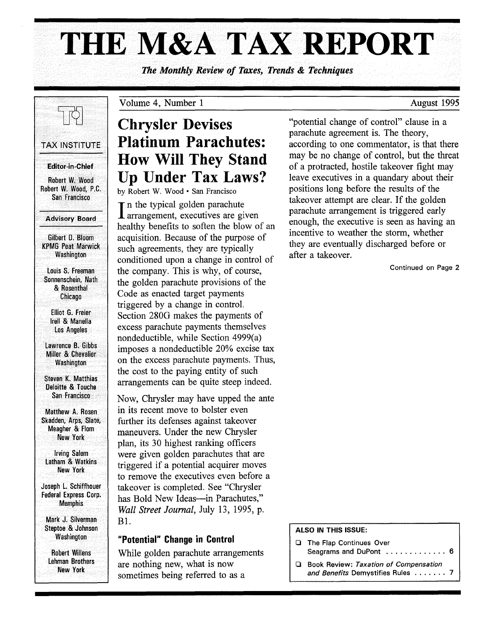# THE M&A TAX REPORT

*The Monthly Review of Taxes, Trends* & *Techniques* 



#### Advisory Board

Gilbert D. Bloom KPMG Peat Marwick Washington

louis S. Freeman Sonnenschein, Nath & Rosenthal Chicago

Elliot G. Freier Irell & Manella los Angeles

lawrence B. Gibbs Miller & Chevalier **Washington** 

Steven K. Matthias Deloitte & Touche San Francisco

Matthew A; Rosen Skadden, Arps, Slate, Meagher & Flom New York

Irving Salem Latham & Watkins New York

Joseph l. Schiffhouer Federal Express Corp. Memphis

Mark J. Silverman Steptoe & Johnson **Washington** 

Robert Willens lehman Brothers New York

## Volume 4, Number 1

# Chrysler Devises Platinum Parachutes: How Will They Stand Up Under Tax Laws?

by Robert W. Wood· San Francisco

In the typical golden parachute<br>arrangement, executives are given In the typical golden parachute healthy benefits to soften the blow of an acquisition. Because of the purpose of such agreements, they are typically conditioned upon a change in control of the company. This is why, of course, the golden parachute provisions of the Code as enacted target payments triggered by a change in control. Section 280G makes the payments of excess parachute payments themselves nondeductible, while Section 4999(a) imposes a nondeductible 20% excise tax on the excess parachute payments. Thus, the cost to the paying entity of such arrangements can be quite steep indeed.

Now, Chrysler may have upped the ante in its recent move to bolster even further its defenses against takeover maneuvers. Under the new Chrysler plan, its 30 highest ranking officers were given golden parachutes that are triggered if a potential acquirer moves to remove the executives even before a takeover is completed. See "Chrysler has Bold New Ideas-in Parachutes," *Wall Street Journal,* July 13, 1995, p. Bl.

## "Potential" Change in Control

While golden parachute arrangements are nothing new, what is now sometimes being referred to as a

"potential change of control" clause in a parachute agreement is. The theory, according to one commentator, is that there may be no change of control, but the threat of a protracted, hostile takeover fight may leave executives in a quandary about their positions long before the results of the takeover attempt are clear. If the golden parachute arrangement is triggered early enough, the executive is seen as having an incentive to weather the storm, whether they are eventually discharged before or after a takeover.

Continued on Page 2

#### ALSO IN THIS ISSUE:

- o The Flap Continues Over Seagrams and DuPont ................ 6
- **a** Book Review: *Taxation of Compensation and Benefits* Demystifies Rules . . . . . . . 7

August 1995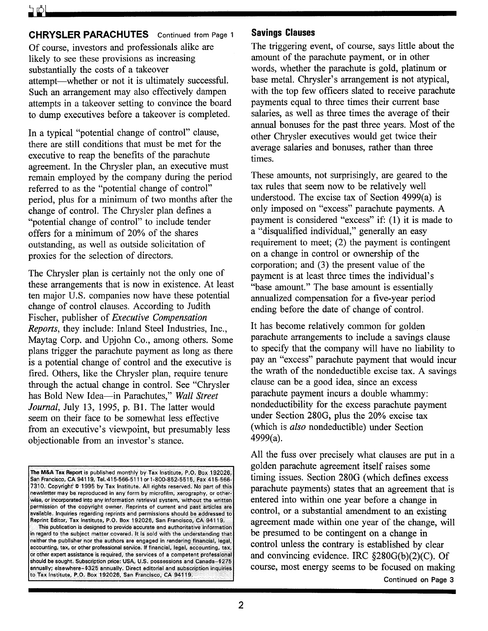**CHRYSLER PARACHUTES** Continued from Page 1 Of course, investors and professionals alike are likely to see these provisions as increasing substantially the costs of a takeover attempt-whether or not it is ultimately successful. Such an arrangement may also effectively dampen attempts in a takeover setting to convince the board to dump executives before a takeover is completed.

In a typical "potential change of control" clause, there are still conditions that must be met for the executive to reap the benefits of the parachute agreement. In the Chrysler plan, an executive must remain employed by the company during the period referred to as the "potential change of control" period, plus for a minimum of two months after the change of control. The Chrysler plan defines a "potential change of control" to include tender offers for a minimum of 20% of the shares outstanding, as well as outside solicitation of proxies for the selection of directors.

The Chrysler plan is certainly not the only one of these arrangements that is now in existence. At least ten major U.S. companies now have these potential change of control clauses. According to Judith Fischer, publisher of *Executive Compensation Reports,* they include: Inland Steel Industries, Inc., Maytag Corp. and Upjohn Co., among others. Some plans trigger the parachute payment as long as there is a potential change of control and the executive is fired. Others, like the Chrysler plan, require tenure through the actual change in control. See "Chrysler has Bold New Idea-in Parachutes," *Wall Street Journal,* July 13, 1995, p. B1. The latter would seem on their face to be somewhat less effective from an executive's viewpoint, but presumably less objectionable from an investor's stance.

The M&A Tax Report is published monthly by Tax Institute, P.O. Box 192026, San Francisco, CA 94119, TeI.415-566-5111 or 1-800-852-5515, Fax 415-566- 7310. Copyright' @ 1995 by Tax Institute. All rights reserved. No part of this newsletter may be reproduced in any form by microfilm, xerography, or otherwise, or incorporated into any information retrieval system, without the written permission of the copyright owner. Reprints of current and past articles are available. Inquiries regarding reprints and permissions should be addressed to Reprint Editor, Tax Institute, P.O. Box 192026, San Francisco, CA 94119. This publication is designed to provide accurate and authoritative information in regard to the subject matter covered. It is sold with the understanding that neither the publisher nor the authors are engaged in rendering financial, legal, accounting, tax, or other professional service. If financial, legal, accounting, tax, or other expert assistance is required, the services of a competent professional should be sought. Subscription price; USA, U.S. possessions and Canada-\$275 annually; elsewhere-\$325 annually, Direct editorial and subscription inquiries to Tax Institute, P.O. Box 192026, San Francisco, CA 941.19.

### **Savings Clauses**

The triggering event, of course, says little about the amount of the parachute payment, or in other words, whether the parachute is gold, platinum or base metal. Chrysler's arrangement is not atypical, with the top few officers slated to receive parachute payments equal to three times their current base salaries, as well as three times the average of their annual bonuses for the past three years. Most of the other Chrysler executives would get twice their average salaries and bonuses, rather than three times.

These amounts, not surprisingly, are geared to the tax rules that seem now to be relatively well understood. The excise tax of Section 4999(a) is only imposed on "excess" parachute payments. A payment is considered "excess" if: (1) it is made to a "disqualified individual," generally an easy requirement to meet; (2) the payment is contingent on a change in control or ownership of the corporation; and (3) the present value of the payment is at least three times the individual's "base amount." The base amount is essentially annualized compensation for a five-year period ending before the date of change of controL

It has become relatively common for golden parachute arrangements to include a savings clause to specify that the company will have no liability to pay an "excess" parachute payment that would incur the wrath of the nondeductible excise tax. A savings clause can be a good idea, since an excess parachute payment incurs a double whammy: nondeductibility for the excess parachute payment under Section 280G, plus the 20% excise tax (which is *also* nondeductible) under Section 4999(a).

All the fuss over precisely what clauses are put in a golden parachute agreement itself raises some timing issues. Section 280G (which defines excess parachute payments) states that an agreement that is entered into within one year before a change in control, or a substantial amendment to an existing agreement made within one year of the change, will be presumed to be contingent on a change in control unless the contrary is established by clear and convincing evidence. IRC  $$280G(b)(2)(C)$ . Of course, most energy seems to be focused on making Continued on Page 3